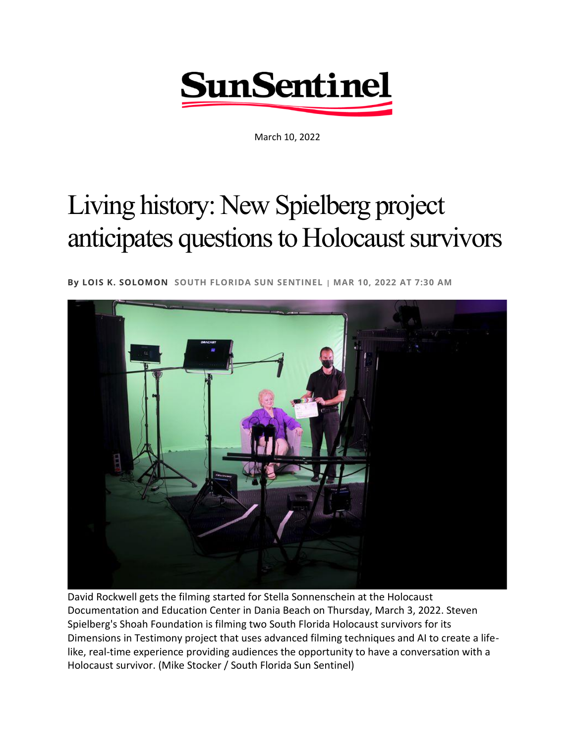

March 10, 2022

## Living history: New Spielberg project anticipates questions to Holocaust survivors

**By [LOIS K. SOLOMON](https://www.sun-sentinel.com/sfl-lois-k-solomon-bio-staff.html#nt=byline) SOUTH FLORIDA SUN SENTINEL | MAR 10, 2022 AT 7:30 AM**



David Rockwell gets the filming started for Stella Sonnenschein at the Holocaust Documentation and Education Center in Dania Beach on Thursday, March 3, 2022. Steven Spielberg's Shoah Foundation is filming two South Florida Holocaust survivors for its Dimensions in Testimony project that uses advanced filming techniques and AI to create a lifelike, real-time experience providing audiences the opportunity to have a conversation with a Holocaust survivor. (Mike Stocker / South Florida Sun Sentinel)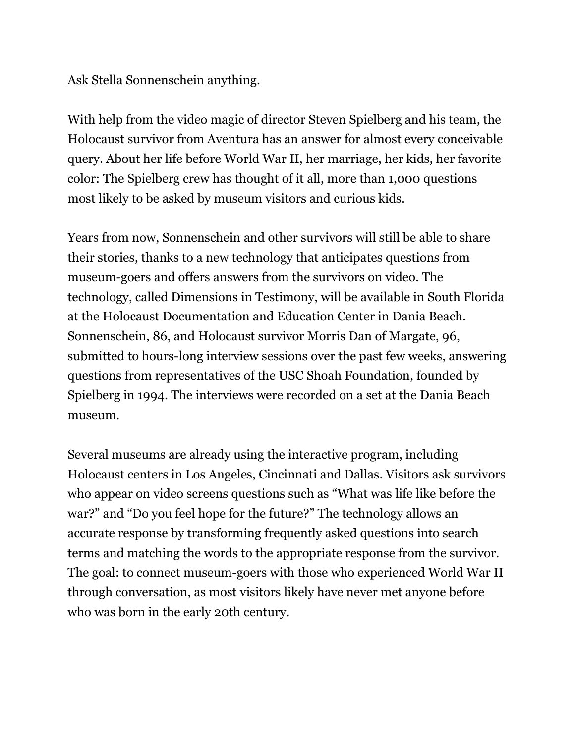Ask Stella Sonnenschein anything.

With help from the video magic of director Steven Spielberg and his team, the Holocaust survivor from Aventura has an answer for almost every conceivable query. About her life before World War II, her marriage, her kids, her favorite color: The Spielberg crew has thought of it all, more than 1,000 questions most likely to be asked by museum visitors and curious kids.

Years from now, Sonnenschein and other survivors will still be able to share their stories, thanks to a new technology that anticipates questions from museum-goers and offers answers from the survivors on video. The technology, called Dimensions in Testimony, will be available in South Florida at the Holocaust Documentation and Education Center in Dania Beach. Sonnenschein, 86, and Holocaust survivor Morris Dan of Margate, 96, submitted to hours-long interview sessions over the past few weeks, answering questions from representatives of the USC Shoah Foundation, founded by Spielberg in 1994. The interviews were recorded on a set at the Dania Beach museum.

Several museums are already using the interactive program, including Holocaust centers in Los Angeles, Cincinnati and Dallas. Visitors ask survivors who appear on video screens questions such as "What was life like before the war?" and "Do you feel hope for the future?" The technology allows an accurate response by transforming frequently asked questions into search terms and matching the words to the appropriate response from the survivor. The goal: to connect museum-goers with those who experienced World War II through conversation, as most visitors likely have never met anyone before who was born in the early 20th century.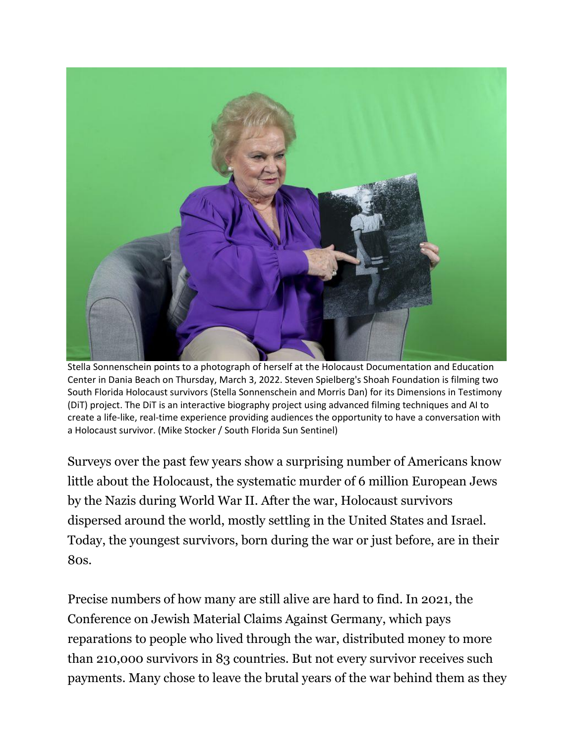

Stella Sonnenschein points to a photograph of herself at the Holocaust Documentation and Education Center in Dania Beach on Thursday, March 3, 2022. Steven Spielberg's Shoah Foundation is filming two South Florida Holocaust survivors (Stella Sonnenschein and Morris Dan) for its Dimensions in Testimony (DiT) project. The DiT is an interactive biography project using advanced filming techniques and AI to create a life-like, real-time experience providing audiences the opportunity to have a conversation with a Holocaust survivor. (Mike Stocker / South Florida Sun Sentinel)

Surveys over the past few years show a surprising number of Americans know little about the Holocaust, the systematic murder of 6 million European Jews by the Nazis during World War II. After the war, Holocaust survivors dispersed around the world, mostly settling in the United States and Israel. Today, the youngest survivors, born during the war or just before, are in their 80s.

Precise numbers of how many are still alive are hard to find. In 2021, the Conference on Jewish Material Claims Against Germany, which pays reparations to people who lived through the war, distributed money to more than 210,000 survivors in 83 countries. But not every survivor receives such payments. Many chose to leave the brutal years of the war behind them as they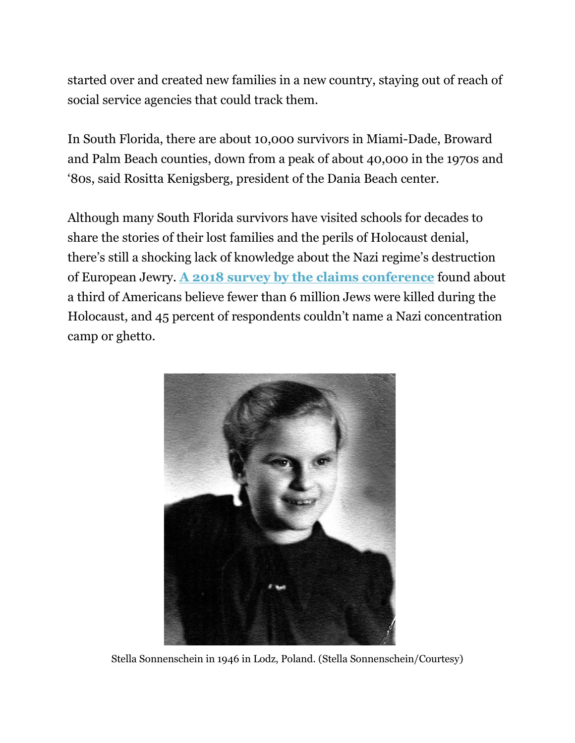started over and created new families in a new country, staying out of reach of social service agencies that could track them.

In South Florida, there are about 10,000 survivors in Miami-Dade, Broward and Palm Beach counties, down from a peak of about 40,000 in the 1970s and '80s, said Rositta Kenigsberg, president of the Dania Beach center.

Although many South Florida survivors have visited schools for decades to share the stories of their lost families and the perils of Holocaust denial, there's still a shocking lack of knowledge about the Nazi regime's destruction of European Jewry. **[A 2018 survey by the claims conference](https://www.nytimes.com/2018/04/12/us/holocaust-education.html)** found about a third of Americans believe fewer than 6 million Jews were killed during the Holocaust, and 45 percent of respondents couldn't name a Nazi concentration camp or ghetto.



Stella Sonnenschein in 1946 in Lodz, Poland. (Stella Sonnenschein/Courtesy)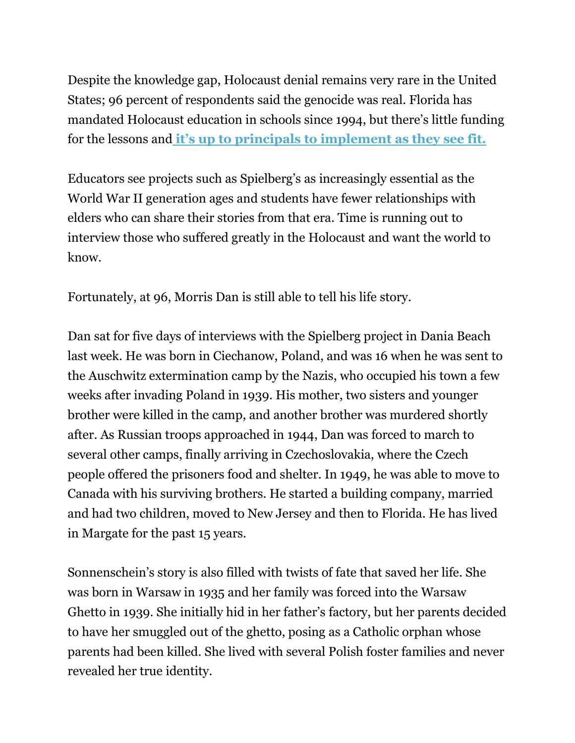Despite the knowledge gap, Holocaust denial remains very rare in the United States; 96 percent of respondents said the genocide was real. Florida has mandated Holocaust education in schools since 1994, but there's little funding for the lessons and **[it's up to principals to implement as they see fit.](https://www.sun-sentinel.com/local/schools/fl-ne-holocaust-education-20190719-numoslvlevhyrhlw65wlhssh6y-story.html)**

Educators see projects such as Spielberg's as increasingly essential as the World War II generation ages and students have fewer relationships with elders who can share their stories from that era. Time is running out to interview those who suffered greatly in the Holocaust and want the world to know.

Fortunately, at 96, Morris Dan is still able to tell his life story.

Dan sat for five days of interviews with the Spielberg project in Dania Beach last week. He was born in Ciechanow, Poland, and was 16 when he was sent to the Auschwitz extermination camp by the Nazis, who occupied his town a few weeks after invading Poland in 1939. His mother, two sisters and younger brother were killed in the camp, and another brother was murdered shortly after. As Russian troops approached in 1944, Dan was forced to march to several other camps, finally arriving in Czechoslovakia, where the Czech people offered the prisoners food and shelter. In 1949, he was able to move to Canada with his surviving brothers. He started a building company, married and had two children, moved to New Jersey and then to Florida. He has lived in Margate for the past 15 years.

Sonnenschein's story is also filled with twists of fate that saved her life. She was born in Warsaw in 1935 and her family was forced into the Warsaw Ghetto in 1939. She initially hid in her father's factory, but her parents decided to have her smuggled out of the ghetto, posing as a Catholic orphan whose parents had been killed. She lived with several Polish foster families and never revealed her true identity.